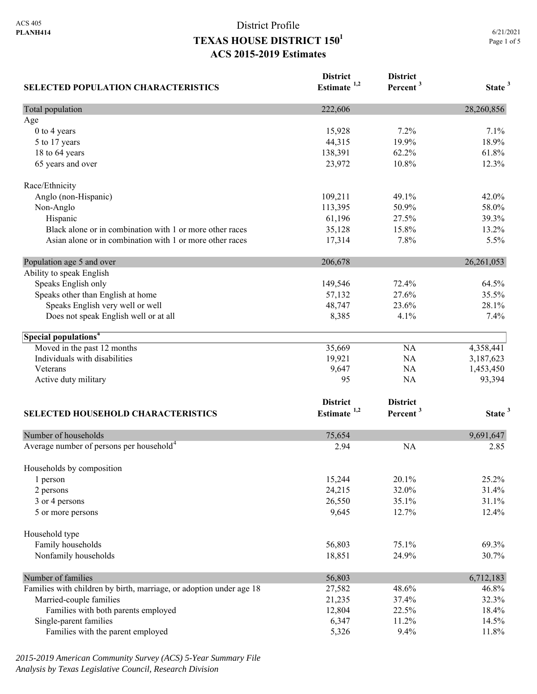| <b>SELECTED POPULATION CHARACTERISTICS</b>                          | <b>District</b><br>Estimate <sup>1,2</sup> | <b>District</b><br>Percent <sup>3</sup> | State <sup>3</sup> |
|---------------------------------------------------------------------|--------------------------------------------|-----------------------------------------|--------------------|
| Total population                                                    | 222,606                                    |                                         | 28,260,856         |
| Age                                                                 |                                            |                                         |                    |
| 0 to 4 years                                                        | 15,928                                     | 7.2%                                    | 7.1%               |
| 5 to 17 years                                                       | 44,315                                     | 19.9%                                   | 18.9%              |
| 18 to 64 years                                                      | 138,391                                    | 62.2%                                   | 61.8%              |
| 65 years and over                                                   | 23,972                                     | 10.8%                                   | 12.3%              |
| Race/Ethnicity                                                      |                                            |                                         |                    |
| Anglo (non-Hispanic)                                                | 109,211                                    | 49.1%                                   | 42.0%              |
| Non-Anglo                                                           | 113,395                                    | 50.9%                                   | 58.0%              |
| Hispanic                                                            | 61,196                                     | 27.5%                                   | 39.3%              |
| Black alone or in combination with 1 or more other races            | 35,128                                     | 15.8%                                   | 13.2%              |
| Asian alone or in combination with 1 or more other races            | 17,314                                     | 7.8%                                    | 5.5%               |
| Population age 5 and over                                           | 206,678                                    |                                         | 26,261,053         |
| Ability to speak English                                            |                                            |                                         |                    |
| Speaks English only                                                 | 149,546                                    | 72.4%                                   | 64.5%              |
| Speaks other than English at home                                   | 57,132                                     | 27.6%                                   | 35.5%              |
| Speaks English very well or well                                    | 48,747                                     | 23.6%                                   | 28.1%              |
| Does not speak English well or at all                               | 8,385                                      | 4.1%                                    | 7.4%               |
| Special populations <sup>4</sup>                                    |                                            |                                         |                    |
| Moved in the past 12 months                                         | 35,669                                     | NA                                      | 4,358,441          |
| Individuals with disabilities                                       | 19,921                                     | NA                                      | 3,187,623          |
| Veterans                                                            | 9,647                                      | NA                                      | 1,453,450          |
| Active duty military                                                | 95                                         | NA                                      | 93,394             |
|                                                                     |                                            |                                         |                    |
|                                                                     | <b>District</b><br>Estimate <sup>1,2</sup> | <b>District</b>                         |                    |
| SELECTED HOUSEHOLD CHARACTERISTICS                                  |                                            | Percent <sup>3</sup>                    | State <sup>3</sup> |
| Number of households                                                | 75,654                                     |                                         | 9,691,647          |
| Average number of persons per household <sup>4</sup>                | 2.94                                       | <b>NA</b>                               | 2.85               |
| Households by composition                                           |                                            |                                         |                    |
| 1 person                                                            | 15,244                                     | 20.1%                                   | 25.2%              |
| 2 persons                                                           | 24,215                                     | 32.0%                                   | 31.4%              |
| 3 or 4 persons                                                      | 26,550                                     | 35.1%                                   | 31.1%              |
| 5 or more persons                                                   | 9,645                                      | 12.7%                                   | 12.4%              |
| Household type                                                      |                                            |                                         |                    |
| Family households                                                   | 56,803                                     | 75.1%                                   | 69.3%              |
| Nonfamily households                                                | 18,851                                     | 24.9%                                   | 30.7%              |
| Number of families                                                  | 56,803                                     |                                         | 6,712,183          |
| Families with children by birth, marriage, or adoption under age 18 | 27,582                                     | 48.6%                                   | 46.8%              |
| Married-couple families                                             | 21,235                                     | 37.4%                                   | 32.3%              |
| Families with both parents employed                                 | 12,804                                     | 22.5%                                   | 18.4%              |
| Single-parent families                                              | 6,347                                      | 11.2%                                   | 14.5%              |
| Families with the parent employed                                   | 5,326                                      | 9.4%                                    | 11.8%              |

*2015-2019 American Community Survey (ACS) 5-Year Summary File Analysis by Texas Legislative Council, Research Division*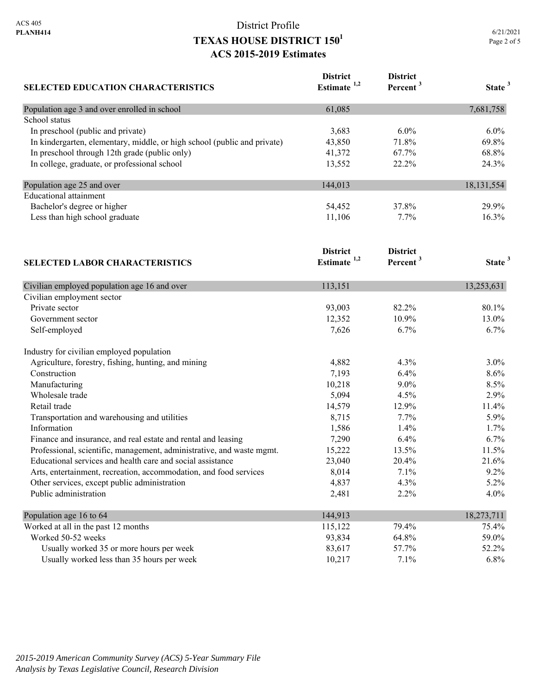| <b>SELECTED EDUCATION CHARACTERISTICS</b>                                | <b>District</b><br>Estimate <sup>1,2</sup> | <b>District</b><br>Percent <sup>3</sup> | State <sup>3</sup> |
|--------------------------------------------------------------------------|--------------------------------------------|-----------------------------------------|--------------------|
|                                                                          |                                            |                                         |                    |
| Population age 3 and over enrolled in school                             | 61,085                                     |                                         | 7,681,758          |
| School status                                                            |                                            |                                         |                    |
| In preschool (public and private)                                        | 3,683                                      | $6.0\%$                                 | 6.0%               |
| In kindergarten, elementary, middle, or high school (public and private) | 43,850                                     | 71.8%                                   | 69.8%              |
| In preschool through 12th grade (public only)                            | 41,372                                     | 67.7%                                   | 68.8%              |
| In college, graduate, or professional school                             | 13,552                                     | 22.2%                                   | 24.3%              |
| Population age 25 and over                                               | 144,013                                    |                                         | 18, 131, 554       |
| <b>Educational attainment</b>                                            |                                            |                                         |                    |
| Bachelor's degree or higher                                              | 54,452                                     | 37.8%                                   | 29.9%              |
| Less than high school graduate                                           | 11,106                                     | 7.7%                                    | 16.3%              |
|                                                                          | <b>District</b>                            | <b>District</b>                         |                    |
| <b>SELECTED LABOR CHARACTERISTICS</b>                                    | Estimate $1,2$                             | Percent <sup>3</sup>                    | State <sup>3</sup> |
| Civilian employed population age 16 and over                             | 113,151                                    |                                         | 13,253,631         |
| Civilian employment sector                                               |                                            |                                         |                    |
| Private sector                                                           | 93,003                                     | 82.2%                                   | 80.1%              |
| Government sector                                                        | 12,352                                     | 10.9%                                   | 13.0%              |
| Self-employed                                                            | 7,626                                      | 6.7%                                    | 6.7%               |
| Industry for civilian employed population                                |                                            |                                         |                    |
| Agriculture, forestry, fishing, hunting, and mining                      | 4,882                                      | 4.3%                                    | $3.0\%$            |
| Construction                                                             | 7,193                                      | 6.4%                                    | 8.6%               |
| Manufacturing                                                            | 10,218                                     | $9.0\%$                                 | 8.5%               |
| Wholesale trade                                                          | 5,094                                      | 4.5%                                    | 2.9%               |
| Retail trade                                                             | 14,579                                     | 12.9%                                   | 11.4%              |
| Transportation and warehousing and utilities                             | 8,715                                      | 7.7%                                    | 5.9%               |
| Information                                                              | 1,586                                      | 1.4%                                    | 1.7%               |
| Finance and insurance, and real estate and rental and leasing            | 7,290                                      | 6.4%                                    | 6.7%               |
| Professional, scientific, management, administrative, and waste mgmt.    | 15,222                                     | 13.5%                                   | 11.5%              |
| Educational services and health care and social assistance               | 23,040                                     | 20.4%                                   | 21.6%              |
| Arts, entertainment, recreation, accommodation, and food services        | 8,014                                      | 7.1%                                    | 9.2%               |
| Other services, except public administration                             | 4,837                                      | 4.3%                                    | 5.2%               |
| Public administration                                                    | 2,481                                      | 2.2%                                    | 4.0%               |
| Population age 16 to 64                                                  | 144,913                                    |                                         | 18,273,711         |
| Worked at all in the past 12 months                                      | 115,122                                    | 79.4%                                   | 75.4%              |
| Worked 50-52 weeks                                                       | 93,834                                     | 64.8%                                   | 59.0%              |
| Usually worked 35 or more hours per week                                 | 83,617                                     | 57.7%                                   | 52.2%              |
| Usually worked less than 35 hours per week                               | 10,217                                     | 7.1%                                    | 6.8%               |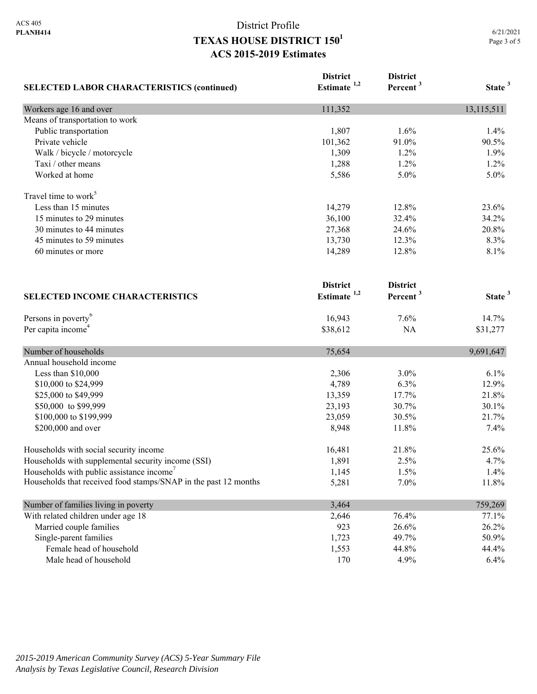| <b>SELECTED LABOR CHARACTERISTICS (continued)</b>               | <b>District</b><br>Estimate <sup>1,2</sup> | <b>District</b><br>Percent <sup>3</sup> | State <sup>3</sup> |
|-----------------------------------------------------------------|--------------------------------------------|-----------------------------------------|--------------------|
| Workers age 16 and over                                         | 111,352                                    |                                         | 13,115,511         |
| Means of transportation to work                                 |                                            |                                         |                    |
| Public transportation                                           | 1,807                                      | 1.6%                                    | 1.4%               |
| Private vehicle                                                 | 101,362                                    | 91.0%                                   | 90.5%              |
| Walk / bicycle / motorcycle                                     | 1,309                                      | 1.2%                                    | 1.9%               |
| Taxi / other means                                              | 1,288                                      | 1.2%                                    | 1.2%               |
| Worked at home                                                  | 5,586                                      | 5.0%                                    | 5.0%               |
| Travel time to work <sup>5</sup>                                |                                            |                                         |                    |
| Less than 15 minutes                                            | 14,279                                     | 12.8%                                   | 23.6%              |
| 15 minutes to 29 minutes                                        | 36,100                                     | 32.4%                                   | 34.2%              |
| 30 minutes to 44 minutes                                        | 27,368                                     | 24.6%                                   | 20.8%              |
| 45 minutes to 59 minutes                                        | 13,730                                     | 12.3%                                   | 8.3%               |
| 60 minutes or more                                              | 14,289                                     | 12.8%                                   | 8.1%               |
|                                                                 | <b>District</b>                            | <b>District</b>                         |                    |
| <b>SELECTED INCOME CHARACTERISTICS</b>                          | Estimate <sup>1,2</sup>                    | Percent <sup>3</sup>                    | State <sup>3</sup> |
| Persons in poverty <sup>6</sup>                                 | 16,943                                     | 7.6%                                    | 14.7%              |
| Per capita income <sup>4</sup>                                  | \$38,612                                   | NA                                      | \$31,277           |
| Number of households                                            | 75,654                                     |                                         | 9,691,647          |
| Annual household income                                         |                                            |                                         |                    |
| Less than \$10,000                                              | 2,306                                      | 3.0%                                    | 6.1%               |
| \$10,000 to \$24,999                                            | 4,789                                      | 6.3%                                    | 12.9%              |
| \$25,000 to \$49,999                                            | 13,359                                     | 17.7%                                   | 21.8%              |
| \$50,000 to \$99,999                                            | 23,193                                     | 30.7%                                   | 30.1%              |
| \$100,000 to \$199,999                                          | 23,059                                     | 30.5%                                   | 21.7%              |
| \$200,000 and over                                              | 8,948                                      | 11.8%                                   | 7.4%               |
| Households with social security income                          | 16,481                                     | 21.8%                                   | 25.6%              |
| Households with supplemental security income (SSI)              | 1,891                                      | 2.5%                                    | 4.7%               |
| Households with public assistance income <sup>7</sup>           | 1,145                                      | 1.5%                                    | 1.4%               |
| Households that received food stamps/SNAP in the past 12 months | 5,281                                      | 7.0%                                    | 11.8%              |
| Number of families living in poverty                            | 3,464                                      |                                         | 759,269            |
| With related children under age 18                              | 2,646                                      | 76.4%                                   | 77.1%              |
| Married couple families                                         | 923                                        | 26.6%                                   | 26.2%              |
| Single-parent families                                          | 1,723                                      | 49.7%                                   | 50.9%              |
| Female head of household                                        | 1,553                                      | 44.8%                                   | 44.4%              |
| Male head of household                                          | 170                                        | 4.9%                                    | 6.4%               |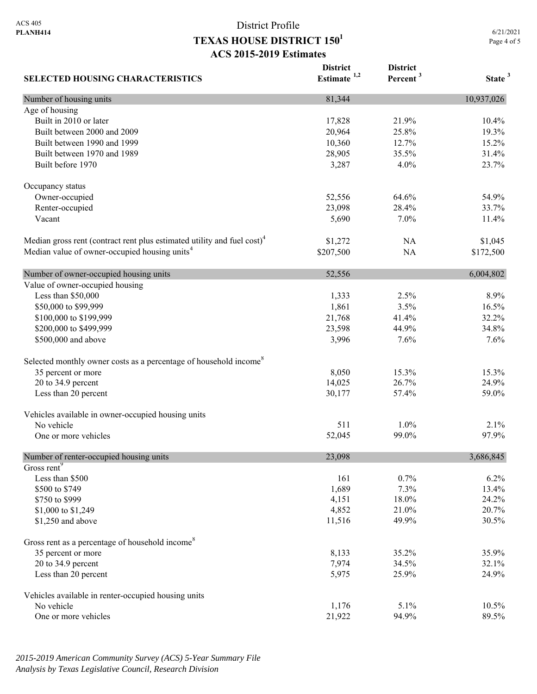6/21/2021 Page 4 of 5

| <b>SELECTED HOUSING CHARACTERISTICS</b>                                             | <b>District</b><br>Estimate $1,2$ | <b>District</b><br>Percent <sup>3</sup> | State <sup>3</sup> |
|-------------------------------------------------------------------------------------|-----------------------------------|-----------------------------------------|--------------------|
| Number of housing units                                                             | 81,344                            |                                         | 10,937,026         |
| Age of housing                                                                      |                                   |                                         |                    |
| Built in 2010 or later                                                              | 17,828                            | 21.9%                                   | 10.4%              |
| Built between 2000 and 2009                                                         | 20,964                            | 25.8%                                   | 19.3%              |
| Built between 1990 and 1999                                                         | 10,360                            | 12.7%                                   | 15.2%              |
| Built between 1970 and 1989                                                         | 28,905                            | 35.5%                                   | 31.4%              |
| Built before 1970                                                                   | 3,287                             | 4.0%                                    | 23.7%              |
| Occupancy status                                                                    |                                   |                                         |                    |
| Owner-occupied                                                                      | 52,556                            | 64.6%                                   | 54.9%              |
| Renter-occupied                                                                     | 23,098                            | 28.4%                                   | 33.7%              |
| Vacant                                                                              | 5,690                             | 7.0%                                    | 11.4%              |
| Median gross rent (contract rent plus estimated utility and fuel cost) <sup>4</sup> | \$1,272                           | NA                                      | \$1,045            |
| Median value of owner-occupied housing units <sup>4</sup>                           | \$207,500                         | <b>NA</b>                               | \$172,500          |
| Number of owner-occupied housing units                                              | 52,556                            |                                         | 6,004,802          |
| Value of owner-occupied housing                                                     |                                   |                                         |                    |
| Less than \$50,000                                                                  | 1,333                             | 2.5%                                    | 8.9%               |
| \$50,000 to \$99,999                                                                | 1,861                             | 3.5%                                    | 16.5%              |
| \$100,000 to \$199,999                                                              | 21,768                            | 41.4%                                   | 32.2%              |
| \$200,000 to \$499,999                                                              | 23,598                            | 44.9%                                   | 34.8%              |
| \$500,000 and above                                                                 | 3,996                             | 7.6%                                    | 7.6%               |
| Selected monthly owner costs as a percentage of household income <sup>8</sup>       |                                   |                                         |                    |
| 35 percent or more                                                                  | 8,050                             | 15.3%                                   | 15.3%              |
| 20 to 34.9 percent                                                                  | 14,025                            | 26.7%                                   | 24.9%              |
| Less than 20 percent                                                                | 30,177                            | 57.4%                                   | 59.0%              |
| Vehicles available in owner-occupied housing units                                  |                                   |                                         |                    |
| No vehicle                                                                          | 511                               | $1.0\%$                                 | 2.1%               |
| One or more vehicles                                                                | 52,045                            | 99.0%                                   | 97.9%              |
| Number of renter-occupied housing units                                             | 23,098                            |                                         | 3,686,845          |
| Gross rent <sup>9</sup>                                                             |                                   |                                         |                    |
| Less than \$500                                                                     | 161                               | 0.7%                                    | 6.2%               |
| \$500 to \$749                                                                      | 1,689                             | 7.3%                                    | 13.4%              |
| \$750 to \$999                                                                      | 4,151                             | 18.0%                                   | 24.2%              |
| \$1,000 to \$1,249                                                                  | 4,852                             | 21.0%                                   | 20.7%              |
| \$1,250 and above                                                                   | 11,516                            | 49.9%                                   | 30.5%              |
| Gross rent as a percentage of household income <sup>8</sup>                         |                                   |                                         |                    |
| 35 percent or more                                                                  | 8,133                             | 35.2%                                   | 35.9%              |
| 20 to 34.9 percent                                                                  | 7,974                             | 34.5%                                   | 32.1%              |
| Less than 20 percent                                                                | 5,975                             | 25.9%                                   | 24.9%              |
| Vehicles available in renter-occupied housing units                                 |                                   |                                         |                    |
| No vehicle                                                                          | 1,176                             | 5.1%                                    | 10.5%              |
| One or more vehicles                                                                | 21,922                            | 94.9%                                   | 89.5%              |